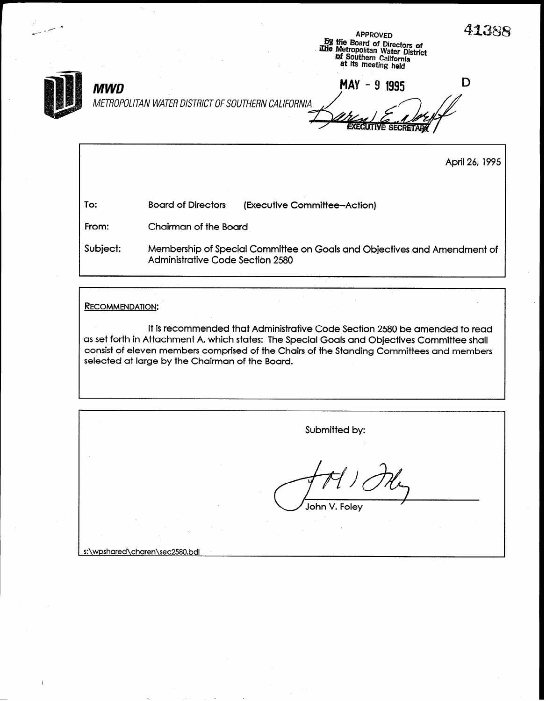. APPROVED  $\overline{A}$ @ tie Board of Directors of me Metropolitan Water Distri& Qf Southern California at its meeting held  $MWD$  D  $MAY - 9$  1995 METROPOLITAN WATER DISTRICT OF SOUTHERN CALIFORNIA **EXECUTIVE SECRETAR** April 26,1995 To: Board of Directors (Executive Committee-Action) From: Chairman of the Board Subject: Membership of Special Committee on Goals and Objectives and Amendment of Administrative Code Section 2580 RECOMMENDATION:

It is recommended that Administrative Code Section 2580 be amended to read as set forth in Attachment A, which states: The Special Goals and Objectives Committee shall consist of eleven members comprised of the Chairs of the Standing Committees and members selected at large by the Chairman of the Board.

Submitted by: John V. Foley

s:\wpshared\charen\sec258O,bdl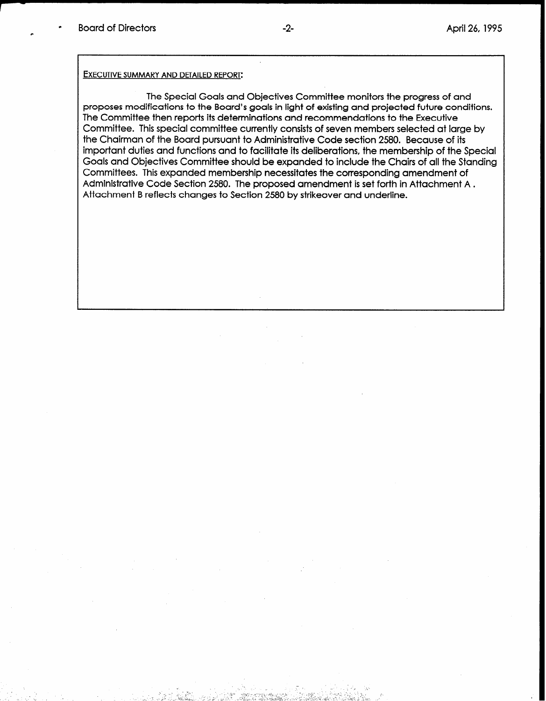#### EXECUTIVE SUMMARY AND DETAILED REPORT:

The Special Goals and Objectives Committee monitors the progress of and proposes modifications to the Board's goals in light of existing and projected future conditions. The Committee then reports its determinations and recommendations to the Executive Committee. This special committee currently consists of seven members selected at large by the Chairman of the Board pursuant to Administrative Code section 2580. Because of its important duties and functions and to facilitate its deliberations, the membership of the Special Goals and Objectives Committee should be expanded to include the Chairs of all the Standing Committees. This expanded membership necessitates the corresponding amendment of Administrative Code Section 2580. The proposed amendment is set forth in Attachment A. Attachment B reflects changes to Section 2580 by strikeover and underline.